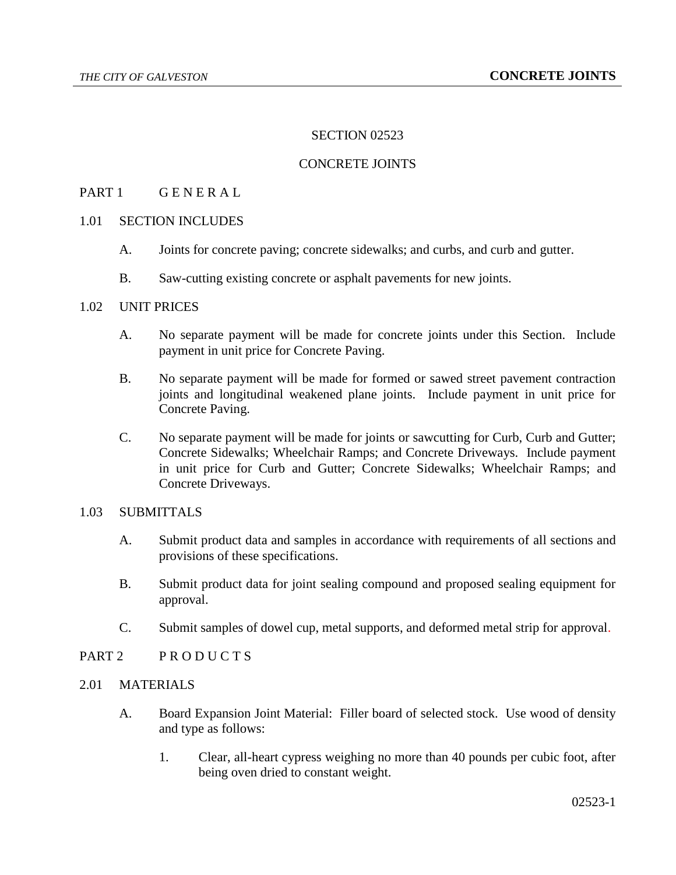## SECTION 02523

# CONCRETE JOINTS

# PART 1 GENERAL

# 1.01 SECTION INCLUDES

- A. Joints for concrete paving; concrete sidewalks; and curbs, and curb and gutter.
- B. Saw-cutting existing concrete or asphalt pavements for new joints.

# 1.02 UNIT PRICES

- A. No separate payment will be made for concrete joints under this Section. Include payment in unit price for Concrete Paving.
- B. No separate payment will be made for formed or sawed street pavement contraction joints and longitudinal weakened plane joints. Include payment in unit price for Concrete Paving.
- C. No separate payment will be made for joints or sawcutting for Curb, Curb and Gutter; Concrete Sidewalks; Wheelchair Ramps; and Concrete Driveways. Include payment in unit price for Curb and Gutter; Concrete Sidewalks; Wheelchair Ramps; and Concrete Driveways.

# 1.03 SUBMITTALS

- A. Submit product data and samples in accordance with requirements of all sections and provisions of these specifications.
- B. Submit product data for joint sealing compound and proposed sealing equipment for approval.
- C. Submit samples of dowel cup, metal supports, and deformed metal strip for approval.

# PART 2 PRODUCTS

## 2.01 MATERIALS

- A. Board Expansion Joint Material: Filler board of selected stock. Use wood of density and type as follows:
	- 1. Clear, all-heart cypress weighing no more than 40 pounds per cubic foot, after being oven dried to constant weight.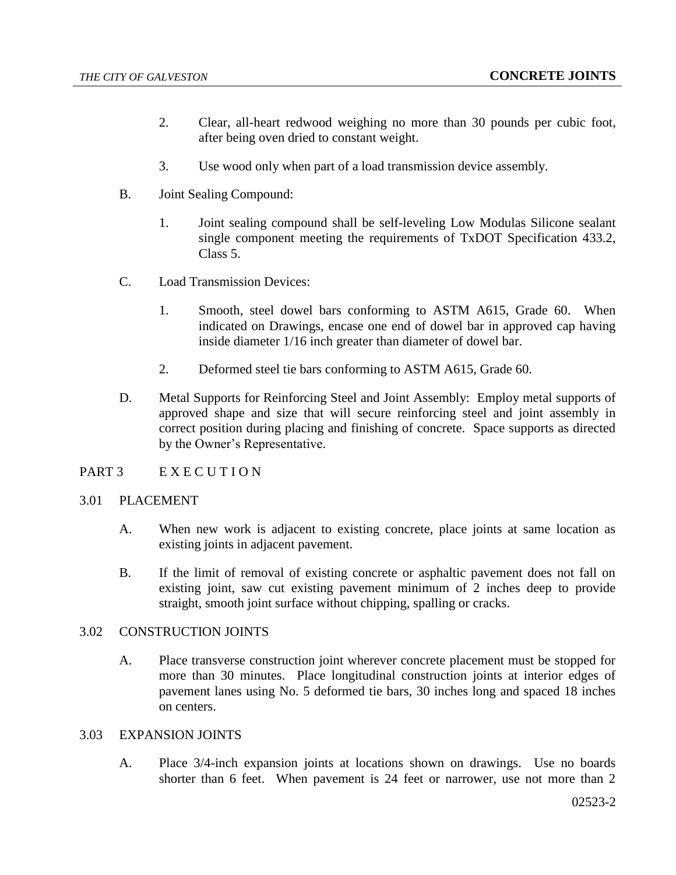- 2. Clear, all-heart redwood weighing no more than 30 pounds per cubic foot, after being oven dried to constant weight.
- 3. Use wood only when part of a load transmission device assembly.
- B. Joint Sealing Compound:
	- 1. Joint sealing compound shall be self-leveling Low Modulas Silicone sealant single component meeting the requirements of TxDOT Specification 433.2, Class 5.
- C. Load Transmission Devices:
	- 1. Smooth, steel dowel bars conforming to ASTM A615, Grade 60. When indicated on Drawings, encase one end of dowel bar in approved cap having inside diameter 1/16 inch greater than diameter of dowel bar.
	- 2. Deformed steel tie bars conforming to ASTM A615, Grade 60.
- D. Metal Supports for Reinforcing Steel and Joint Assembly: Employ metal supports of approved shape and size that will secure reinforcing steel and joint assembly in correct position during placing and finishing of concrete. Space supports as directed by the Owner's Representative.

## PART 3 EXECUTION

## 3.01 PLACEMENT

- A. When new work is adjacent to existing concrete, place joints at same location as existing joints in adjacent pavement.
- B. If the limit of removal of existing concrete or asphaltic pavement does not fall on existing joint, saw cut existing pavement minimum of 2 inches deep to provide straight, smooth joint surface without chipping, spalling or cracks.

## 3.02 CONSTRUCTION JOINTS

A. Place transverse construction joint wherever concrete placement must be stopped for more than 30 minutes. Place longitudinal construction joints at interior edges of pavement lanes using No. 5 deformed tie bars, 30 inches long and spaced 18 inches on centers.

## 3.03 EXPANSION JOINTS

A. Place 3/4-inch expansion joints at locations shown on drawings. Use no boards shorter than 6 feet. When pavement is 24 feet or narrower, use not more than 2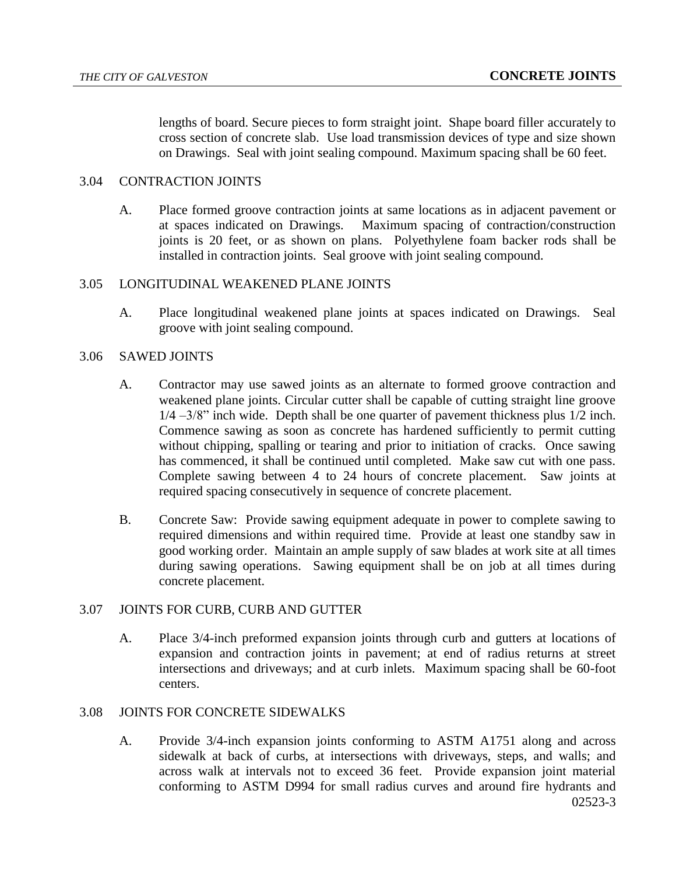lengths of board. Secure pieces to form straight joint. Shape board filler accurately to cross section of concrete slab. Use load transmission devices of type and size shown on Drawings. Seal with joint sealing compound. Maximum spacing shall be 60 feet.

# 3.04 CONTRACTION JOINTS

A. Place formed groove contraction joints at same locations as in adjacent pavement or at spaces indicated on Drawings. Maximum spacing of contraction/construction joints is 20 feet, or as shown on plans. Polyethylene foam backer rods shall be installed in contraction joints. Seal groove with joint sealing compound.

# 3.05 LONGITUDINAL WEAKENED PLANE JOINTS

A. Place longitudinal weakened plane joints at spaces indicated on Drawings. Seal groove with joint sealing compound.

# 3.06 SAWED JOINTS

- A. Contractor may use sawed joints as an alternate to formed groove contraction and weakened plane joints. Circular cutter shall be capable of cutting straight line groove 1/4 –3/8" inch wide. Depth shall be one quarter of pavement thickness plus 1/2 inch. Commence sawing as soon as concrete has hardened sufficiently to permit cutting without chipping, spalling or tearing and prior to initiation of cracks. Once sawing has commenced, it shall be continued until completed. Make saw cut with one pass. Complete sawing between 4 to 24 hours of concrete placement. Saw joints at required spacing consecutively in sequence of concrete placement.
- B. Concrete Saw: Provide sawing equipment adequate in power to complete sawing to required dimensions and within required time. Provide at least one standby saw in good working order. Maintain an ample supply of saw blades at work site at all times during sawing operations. Sawing equipment shall be on job at all times during concrete placement.

## 3.07 JOINTS FOR CURB, CURB AND GUTTER

A. Place 3/4-inch preformed expansion joints through curb and gutters at locations of expansion and contraction joints in pavement; at end of radius returns at street intersections and driveways; and at curb inlets. Maximum spacing shall be 60-foot centers.

## 3.08 JOINTS FOR CONCRETE SIDEWALKS

02523-3 A. Provide 3/4-inch expansion joints conforming to ASTM A1751 along and across sidewalk at back of curbs, at intersections with driveways, steps, and walls; and across walk at intervals not to exceed 36 feet. Provide expansion joint material conforming to ASTM D994 for small radius curves and around fire hydrants and